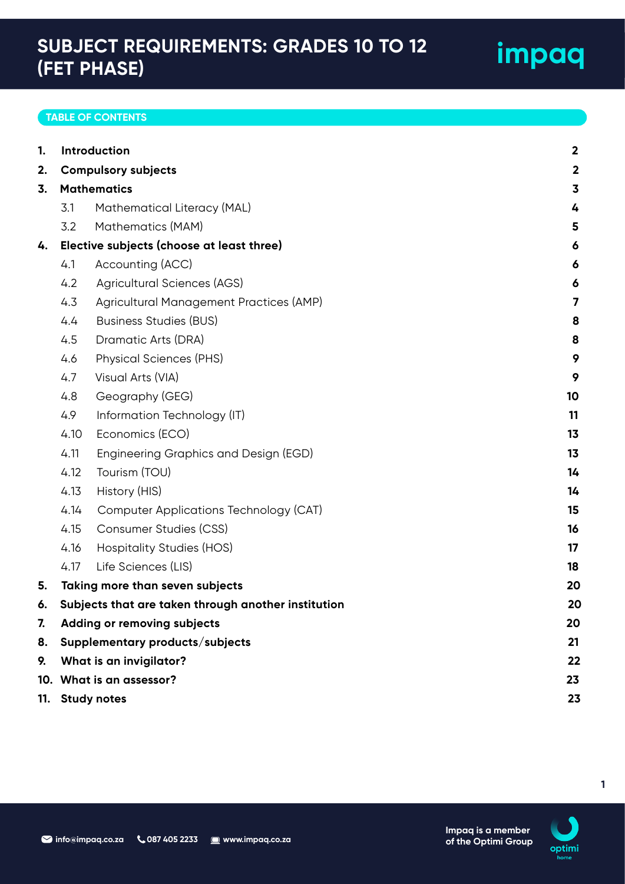## **SUBJECT REQUIREMENTS: GRADES 10 TO 12 (FET PHASE)**

## **TABLE OF CONTENTS**

| 1. | Introduction                                        | $\mathbf{2}$                              |                         |
|----|-----------------------------------------------------|-------------------------------------------|-------------------------|
| 2. |                                                     | <b>Compulsory subjects</b>                | $\overline{\mathbf{2}}$ |
| 3. | <b>Mathematics</b>                                  |                                           |                         |
|    | 3.1                                                 | Mathematical Literacy (MAL)               | 4                       |
|    | 3.2                                                 | Mathematics (MAM)                         | 5                       |
| 4. |                                                     | Elective subjects (choose at least three) | 6                       |
|    | 4.1                                                 | Accounting (ACC)                          | 6                       |
|    | 4.2                                                 | Agricultural Sciences (AGS)               | 6                       |
|    | 4.3                                                 | Agricultural Management Practices (AMP)   | 7                       |
|    | 4.4                                                 | <b>Business Studies (BUS)</b>             | 8                       |
|    | 4.5                                                 | Dramatic Arts (DRA)                       | 8                       |
|    | 4.6                                                 | <b>Physical Sciences (PHS)</b>            | 9                       |
|    | 4.7                                                 | Visual Arts (VIA)                         | 9                       |
|    | 4.8                                                 | Geography (GEG)                           | 10                      |
|    | 4.9                                                 | Information Technology (IT)               | 11                      |
|    | 4.10                                                | Economics (ECO)                           | 13                      |
|    | 4.11                                                | Engineering Graphics and Design (EGD)     | 13                      |
|    | 4.12                                                | Tourism (TOU)                             | 14                      |
|    | 4.13                                                | History (HIS)                             | 14                      |
|    | 4.14                                                | Computer Applications Technology (CAT)    | 15                      |
|    | 4.15                                                | <b>Consumer Studies (CSS)</b>             | 16                      |
|    | 4.16                                                | Hospitality Studies (HOS)                 | 17                      |
|    | 4.17                                                | Life Sciences (LIS)                       | 18                      |
| 5. | Taking more than seven subjects                     | 20                                        |                         |
| 6. | Subjects that are taken through another institution |                                           | 20                      |
| 7. | <b>Adding or removing subjects</b>                  | 20                                        |                         |
| 8. | Supplementary products/subjects                     | 21                                        |                         |
| 9. | What is an invigilator?                             |                                           |                         |
|    | 10. What is an assessor?<br>23                      |                                           |                         |
|    | 11. Study notes                                     |                                           |                         |



**Impaq is a member of the Optimi Group**

**impaq**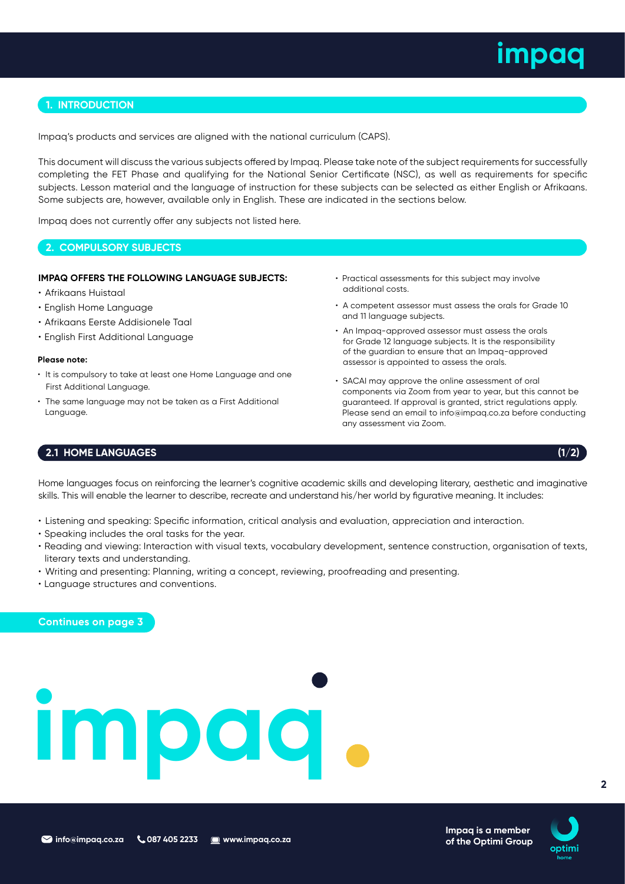## **1. INTRODUCTION**

Impaq's products and services are aligned with the national curriculum (CAPS).

This document will discuss the various subjects offered by Impaq. Please take note of the subject requirements for successfully completing the FET Phase and qualifying for the National Senior Certificate (NSC), as well as requirements for specific subjects. Lesson material and the language of instruction for these subjects can be selected as either English or Afrikaans. Some subjects are, however, available only in English. These are indicated in the sections below.

Impaq does not currently offer any subjects not listed here.

## **2. COMPULSORY SUBJECTS**

## **IMPAQ OFFERS THE FOLLOWING LANGUAGE SUBJECTS:**

- Afrikaans Huistaal
- English Home Language
- Afrikaans Eerste Addisionele Taal
- English First Additional Language

### **Please note:**

- It is compulsory to take at least one Home Language and one First Additional Language.
- The same language may not be taken as a First Additional Language.
- Practical assessments for this subject may involve additional costs.
- A competent assessor must assess the orals for Grade 10 and 11 language subjects.
- An Impaq-approved assessor must assess the orals for Grade 12 language subjects. It is the responsibility of the guardian to ensure that an Impaq-approved assessor is appointed to assess the orals.
- SACAI may approve the online assessment of oral components via Zoom from year to year, but this cannot be guaranteed. If approval is granted, strict regulations apply. Please send an email to info@impaq.co.za before conducting any assessment via Zoom.

## **2.1 HOME LANGUAGES (1/2)**

Home languages focus on reinforcing the learner's cognitive academic skills and developing literary, aesthetic and imaginative skills. This will enable the learner to describe, recreate and understand his/her world by figurative meaning. It includes:

- Listening and speaking: Specific information, critical analysis and evaluation, appreciation and interaction.
- Speaking includes the oral tasks for the year.
- Reading and viewing: Interaction with visual texts, vocabulary development, sentence construction, organisation of texts, literary texts and understanding.
- Writing and presenting: Planning, writing a concept, reviewing, proofreading and presenting.
- Language structures and conventions.

**Continues on page 3**

## **impaq**



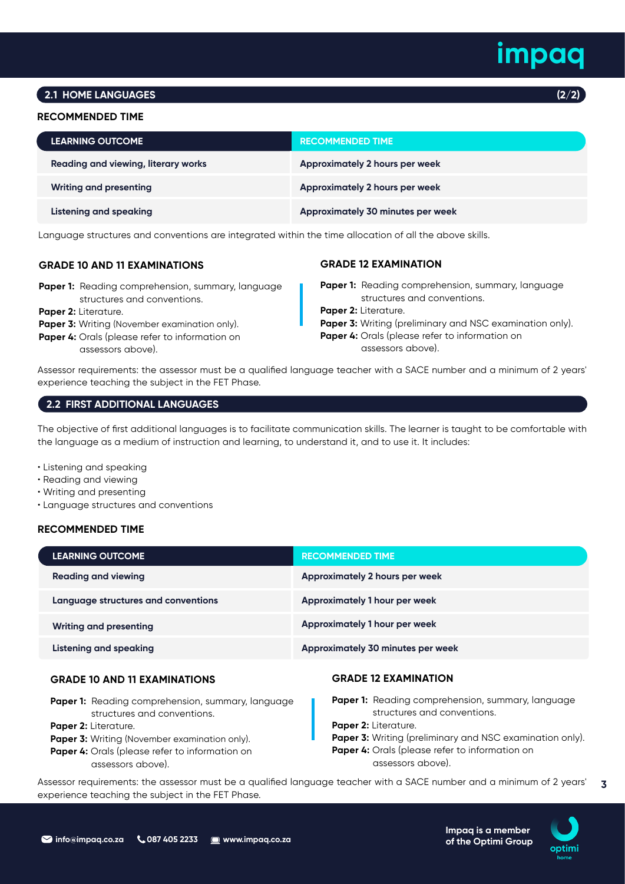## **2.1 HOME LANGUAGES**

## **RECOMMENDED TIME**

| <b>LEARNING OUTCOME</b>             | <b>RECOMMENDED TIME</b>                  |
|-------------------------------------|------------------------------------------|
| Reading and viewing, literary works | Approximately 2 hours per week           |
| <b>Writing and presenting</b>       | Approximately 2 hours per week           |
| Listening and speaking              | <b>Approximately 30 minutes per week</b> |

Language structures and conventions are integrated within the time allocation of all the above skills.

## **GRADE 10 AND 11 EXAMINATIONS**

- Paper 1: Reading comprehension, summary, language structures and conventions.
- **Paper 2:** Literature.
- **Paper 3:** Writing (November examination only).
- Paper 4: Orals (please refer to information on assessors above).

## **GRADE 12 EXAMINATION**

- Paper 1: Reading comprehension, summary, language structures and conventions.
- **Paper 2:** Literature.
- Paper 3: Writing (preliminary and NSC examination only).
- **Paper 4:** Orals (please refer to information on assessors above).

Assessor requirements: the assessor must be a qualified language teacher with a SACE number and a minimum of 2 years' experience teaching the subject in the FET Phase.

## **2.2 FIRST ADDITIONAL LANGUAGES**

The objective of first additional languages is to facilitate communication skills. The learner is taught to be comfortable with the language as a medium of instruction and learning, to understand it, and to use it. It includes:

• Listening and speaking

- Reading and viewing
- Writing and presenting
- Language structures and conventions

## **RECOMMENDED TIME**

| <b>LEARNING OUTCOME</b>             | <b>RECOMMENDED TIME</b>                  |
|-------------------------------------|------------------------------------------|
| <b>Reading and viewing</b>          | Approximately 2 hours per week           |
| Language structures and conventions | Approximately 1 hour per week            |
| <b>Writing and presenting</b>       | Approximately 1 hour per week            |
| Listening and speaking              | <b>Approximately 30 minutes per week</b> |

## **GRADE 10 AND 11 EXAMINATIONS**

- **Paper 1:** Reading comprehension, summary, language structures and conventions.
- **Paper 2:** Literature.
- **Paper 3:** Writing (November examination only).
- Paper 4: Orals (please refer to information on assessors above).

## **GRADE 12 EXAMINATION**

**Paper 1:** Reading comprehension, summary, language structures and conventions. **Paper 2:** Literature. **Paper 3:** Writing (preliminary and NSC examination only). **Paper 4:** Orals (please refer to information on assessors above).

> **Impaq is a member of the Optimi Group**

**3** Assessor requirements: the assessor must be a qualified language teacher with a SACE number and a minimum of 2 years' experience teaching the subject in the FET Phase.

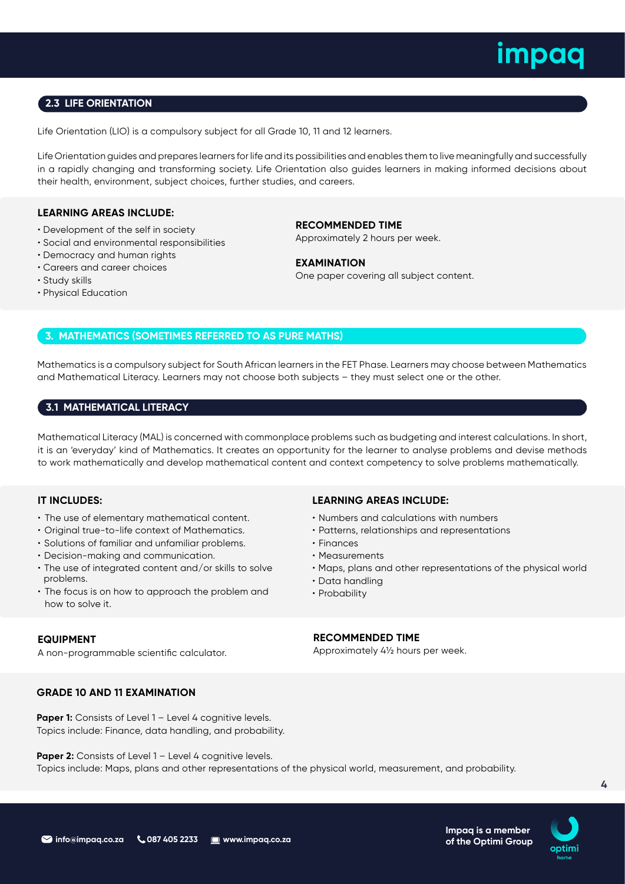## **2.3 LIFE ORIENTATION**

Life Orientation (LIO) is a compulsory subject for all Grade 10, 11 and 12 learners.

Life Orientation guides and prepares learners for life and its possibilities and enables them to live meaningfully and successfully in a rapidly changing and transforming society. Life Orientation also guides learners in making informed decisions about their health, environment, subject choices, further studies, and careers.

## **LEARNING AREAS INCLUDE:**

- Development of the self in society
- Social and environmental responsibilities
- Democracy and human rights
- Careers and career choices
- Study skills
- Physical Education

**RECOMMENDED TIME** Approximately 2 hours per week.

**EXAMINATION** One paper covering all subject content.

## **3. MATHEMATICS (SOMETIMES REFERRED TO AS PURE MATHS)**

Mathematics is a compulsory subject for South African learners in the FET Phase. Learners may choose between Mathematics and Mathematical Literacy. Learners may not choose both subjects – they must select one or the other.

## **3.1 MATHEMATICAL LITERACY**

Mathematical Literacy (MAL) is concerned with commonplace problems such as budgeting and interest calculations. In short, it is an 'everyday' kind of Mathematics. It creates an opportunity for the learner to analyse problems and devise methods to work mathematically and develop mathematical content and context competency to solve problems mathematically.

## **IT INCLUDES:**

- The use of elementary mathematical content.
- Original true-to-life context of Mathematics.
- Solutions of familiar and unfamiliar problems.
- Decision-making and communication.
- The use of integrated content and/or skills to solve problems.
- The focus is on how to approach the problem and how to solve it.

## **EQUIPMENT**

A non-programmable scientific calculator.

## **LEARNING AREAS INCLUDE:**

- Numbers and calculations with numbers
- Patterns, relationships and representations
- Finances
- Measurements
- Maps, plans and other representations of the physical world
- Data handling
- Probability

## **RECOMMENDED TIME**

Approximately 4½ hours per week.

## **GRADE 10 AND 11 EXAMINATION**

**Paper 1:** Consists of Level 1 – Level 4 cognitive levels. Topics include: Finance, data handling, and probability.

**Paper 2:** Consists of Level 1 – Level 4 cognitive levels. Topics include: Maps, plans and other representations of the physical world, measurement, and probability.



**Impaq is a member of the Optimi Group**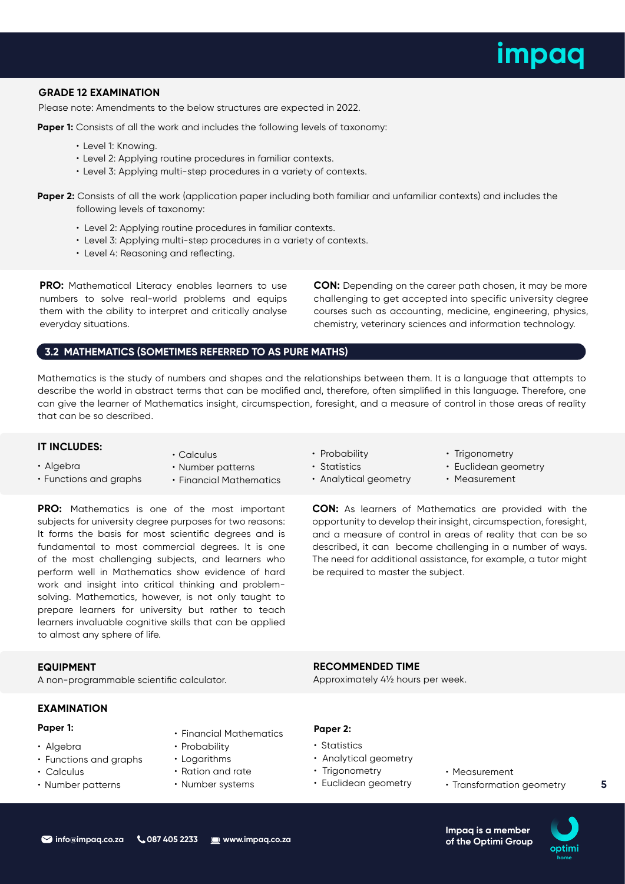## **GRADE 12 EXAMINATION**

Please note: Amendments to the below structures are expected in 2022.

Paper 1: Consists of all the work and includes the following levels of taxonomy:

- Level 1: Knowing.
- Level 2: Applying routine procedures in familiar contexts.
- Level 3: Applying multi-step procedures in a variety of contexts.

**Paper 2:** Consists of all the work (application paper including both familiar and unfamiliar contexts) and includes the following levels of taxonomy:

- Level 2: Applying routine procedures in familiar contexts.
- Level 3: Applying multi-step procedures in a variety of contexts.
- Level 4: Reasoning and reflecting.

**PRO:** Mathematical Literacy enables learners to use numbers to solve real-world problems and equips them with the ability to interpret and critically analyse everyday situations.

**CON:** Depending on the career path chosen, it may be more challenging to get accepted into specific university degree courses such as accounting, medicine, engineering, physics, chemistry, veterinary sciences and information technology.

**CON:** As learners of Mathematics are provided with the opportunity to develop their insight, circumspection, foresight, and a measure of control in areas of reality that can be so described, it can become challenging in a number of ways. The need for additional assistance, for example, a tutor might

• Trigonometry • Euclidean geometry • Measurement

## **3.2 MATHEMATICS (SOMETIMES REFERRED TO AS PURE MATHS)**

• Calculus

Mathematics is the study of numbers and shapes and the relationships between them. It is a language that attempts to describe the world in abstract terms that can be modified and, therefore, often simplified in this language. Therefore, one can give the learner of Mathematics insight, circumspection, foresight, and a measure of control in those areas of reality that can be so described.

> • Probability • Statistics

• Analytical geometry

## **IT INCLUDES:**

- Algebra
- Functions and graphs
- Number patterns
- Financial Mathematics

**PRO:** Mathematics is one of the most important subjects for university degree purposes for two reasons: It forms the basis for most scientific degrees and is fundamental to most commercial degrees. It is one of the most challenging subjects, and learners who perform well in Mathematics show evidence of hard work and insight into critical thinking and problemsolving. Mathematics, however, is not only taught to prepare learners for university but rather to teach learners invaluable cognitive skills that can be applied to almost any sphere of life.

## **EQUIPMENT**

A non-programmable scientific calculator.

## **EXAMINATION**

## **Paper 1:**

- Algebra
- Functions and graphs
- Calculus
- Number patterns
- Financial Mathematics
- Probability
- Logarithms
- Ration and rate
- Number systems

## **Paper 2:**

- Statistics
- Analytical geometry

**RECOMMENDED TIME**

be required to master the subject.

Approximately 4½ hours per week.

- Trigonometry
- Euclidean geometry
- Measurement
- Transformation geometry



optimi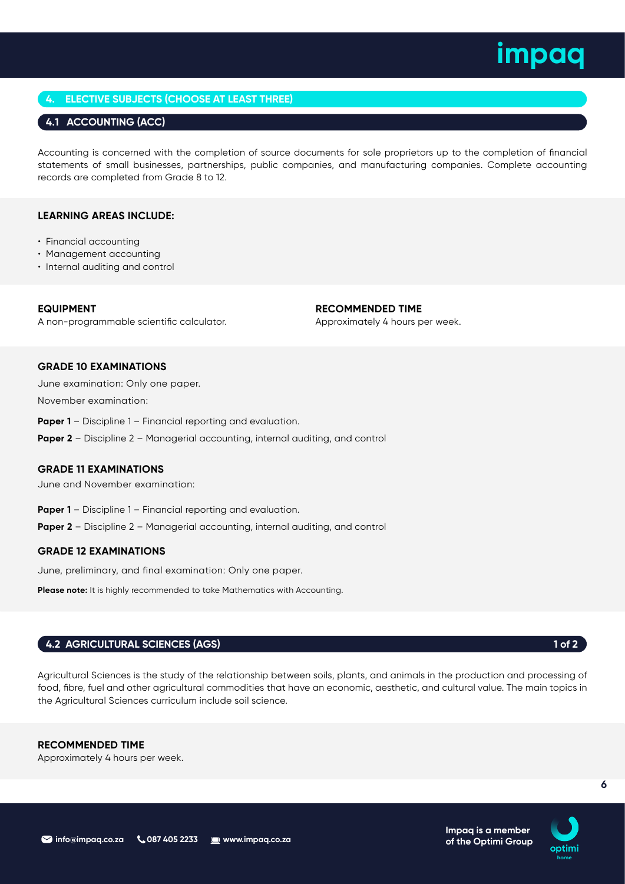## **4. ELECTIVE SUBJECTS (CHOOSE AT LEAST THREE)**

## **4.1 ACCOUNTING (ACC)**

Accounting is concerned with the completion of source documents for sole proprietors up to the completion of financial statements of small businesses, partnerships, public companies, and manufacturing companies. Complete accounting records are completed from Grade 8 to 12.

## **LEARNING AREAS INCLUDE:**

- Financial accounting
- Management accounting
- Internal auditing and control

**EQUIPMENT** A non-programmable scientific calculator. **RECOMMENDED TIME**

Approximately 4 hours per week.

## **GRADE 10 EXAMINATIONS**

June examination: Only one paper. November examination:

**Paper 1** – Discipline 1 – Financial reporting and evaluation.

**Paper 2** – Discipline 2 – Managerial accounting, internal auditing, and control

## **GRADE 11 EXAMINATIONS**

June and November examination:

- **Paper 1** Discipline 1 Financial reporting and evaluation.
- **Paper 2** Discipline 2 Managerial accounting, internal auditing, and control

## **GRADE 12 EXAMINATIONS**

June, preliminary, and final examination: Only one paper.

Please note: It is highly recommended to take Mathematics with Accounting.

## **4.2 AGRICULTURAL SCIENCES (AGS) 1 of 2**

Agricultural Sciences is the study of the relationship between soils, plants, and animals in the production and processing of food, fibre, fuel and other agricultural commodities that have an economic, aesthetic, and cultural value. The main topics in the Agricultural Sciences curriculum include soil science.

## **RECOMMENDED TIME**

Approximately 4 hours per week.

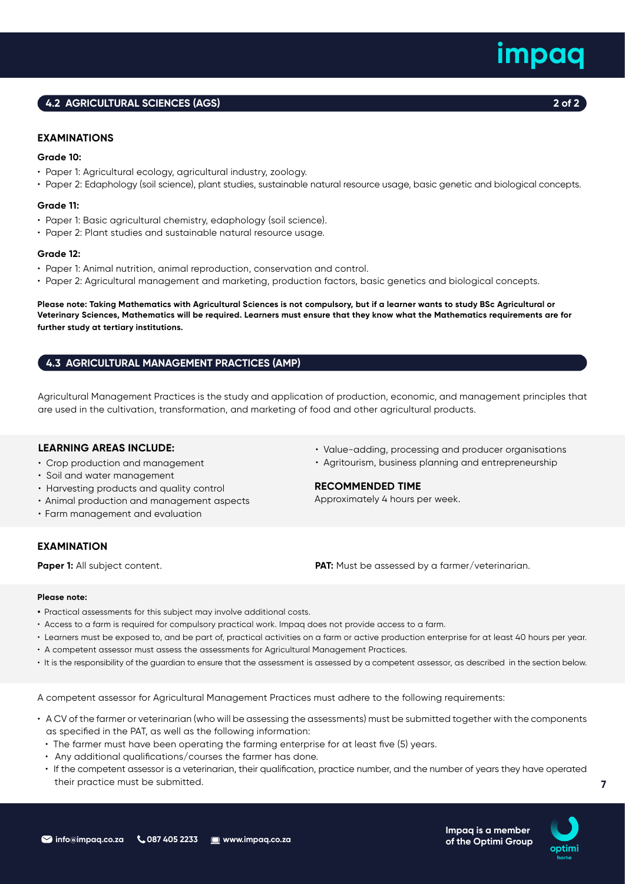## **4.2 AGRICULTURAL SCIENCES (AGS) 2 of 2**

## **EXAMINATIONS**

## **Grade 10:**

- Paper 1: Agricultural ecology, agricultural industry, zoology.
- Paper 2: Edaphology (soil science), plant studies, sustainable natural resource usage, basic genetic and biological concepts.

### **Grade 11:**

- Paper 1: Basic agricultural chemistry, edaphology (soil science).
- Paper 2: Plant studies and sustainable natural resource usage.

### **Grade 12:**

- Paper 1: Animal nutrition, animal reproduction, conservation and control.
- Paper 2: Agricultural management and marketing, production factors, basic genetics and biological concepts.

**Please note: Taking Mathematics with Agricultural Sciences is not compulsory, but if a learner wants to study BSc Agricultural or Veterinary Sciences, Mathematics will be required. Learners must ensure that they know what the Mathematics requirements are for further study at tertiary institutions.** 

## **4.3 AGRICULTURAL MANAGEMENT PRACTICES (AMP)**

Agricultural Management Practices is the study and application of production, economic, and management principles that are used in the cultivation, transformation, and marketing of food and other agricultural products.

## **LEARNING AREAS INCLUDE:**

- Crop production and management
- Soil and water management
- Harvesting products and quality control
- Animal production and management aspects
- Farm management and evaluation

## **EXAMINATION**

• Value-adding, processing and producer organisations

• Agritourism, business planning and entrepreneurship

## **RECOMMENDED TIME**

Approximately 4 hours per week.

**Paper 1:** All subject content. **PAT:** Must be assessed by a farmer/veterinarian.

### **Please note:**

- **•** Practical assessments for this subject may involve additional costs.
- Access to a farm is required for compulsory practical work. Impaq does not provide access to a farm.
- Learners must be exposed to, and be part of, practical activities on a farm or active production enterprise for at least 40 hours per year.
- A competent assessor must assess the assessments for Agricultural Management Practices.
- It is the responsibility of the guardian to ensure that the assessment is assessed by a competent assessor, as described in the section below.

A competent assessor for Agricultural Management Practices must adhere to the following requirements:

- A CV of the farmer or veterinarian (who will be assessing the assessments) must be submitted together with the components as specified in the PAT, as well as the following information:
	- The farmer must have been operating the farming enterprise for at least five (5) years.
	- Any additional qualifications/courses the farmer has done.
	- If the competent assessor is a veterinarian, their qualification, practice number, and the number of years they have operated their practice must be submitted.



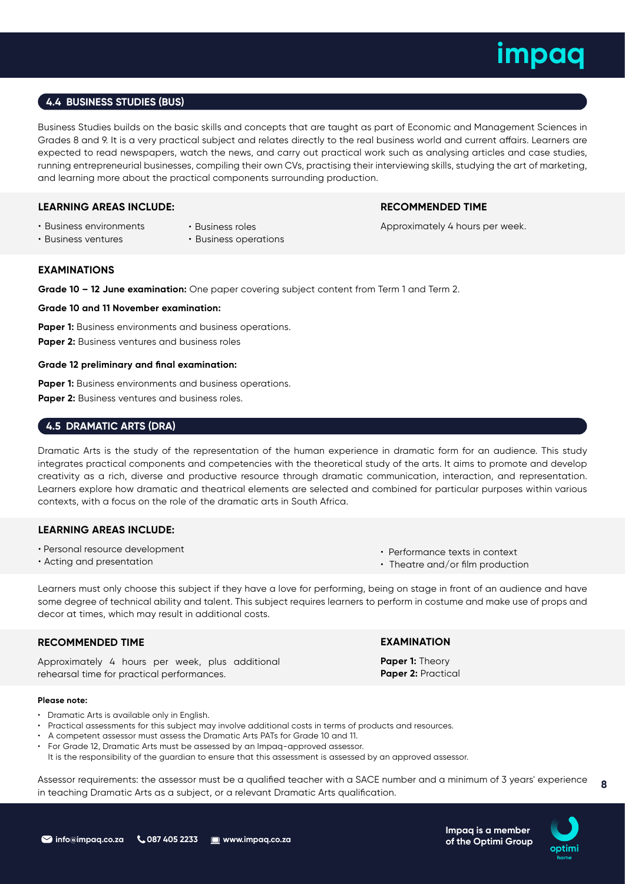## **4.4 BUSINESS STUDIES (BUS)**

Business Studies builds on the basic skills and concepts that are taught as part of Economic and Management Sciences in Grades 8 and 9. It is a very practical subject and relates directly to the real business world and current affairs. Learners are expected to read newspapers, watch the news, and carry out practical work such as analysing articles and case studies, running entrepreneurial businesses, compiling their own CVs, practising their interviewing skills, studying the art of marketing, and learning more about the practical components surrounding production.

## **LEARNING AREAS INCLUDE:**

## **RECOMMENDED TIME**

Approximately 4 hours per week.

- Business ventures
- Business roles
- Business environments
- Business operations

## **EXAMINATIONS**

**Grade 10 – 12 June examination:** One paper covering subject content from Term 1 and Term 2.

**Grade 10 and 11 November examination:** 

**Paper 1:** Business environments and business operations. **Paper 2:** Business ventures and business roles

## **Grade 12 preliminary and final examination:**

Paper 1: Business environments and business operations. **Paper 2:** Business ventures and business roles.

## **4.5 DRAMATIC ARTS (DRA)**

Dramatic Arts is the study of the representation of the human experience in dramatic form for an audience. This study integrates practical components and competencies with the theoretical study of the arts. It aims to promote and develop creativity as a rich, diverse and productive resource through dramatic communication, interaction, and representation. Learners explore how dramatic and theatrical elements are selected and combined for particular purposes within various contexts, with a focus on the role of the dramatic arts in South Africa.

## **LEARNING AREAS INCLUDE:**

- Personal resource development
- Acting and presentation

• Performance texts in context

**EXAMINATION Paper 1:** Theory **Paper 2:** Practical

• Theatre and/or film production

Learners must only choose this subject if they have a love for performing, being on stage in front of an audience and have some degree of technical ability and talent. This subject requires learners to perform in costume and make use of props and decor at times, which may result in additional costs.

## **RECOMMENDED TIME**

Approximately 4 hours per week, plus additional rehearsal time for practical performances.

## **Please note:**

- Dramatic Arts is available only in English.
- Practical assessments for this subject may involve additional costs in terms of products and resources.
- A competent assessor must assess the Dramatic Arts PATs for Grade 10 and 11.
- For Grade 12, Dramatic Arts must be assessed by an Impaq-approved assessor.
- It is the responsibility of the guardian to ensure that this assessment is assessed by an approved assessor.

**8** Assessor requirements: the assessor must be a qualified teacher with a SACE number and a minimum of 3 years' experience in teaching Dramatic Arts as a subject, or a relevant Dramatic Arts qualification.

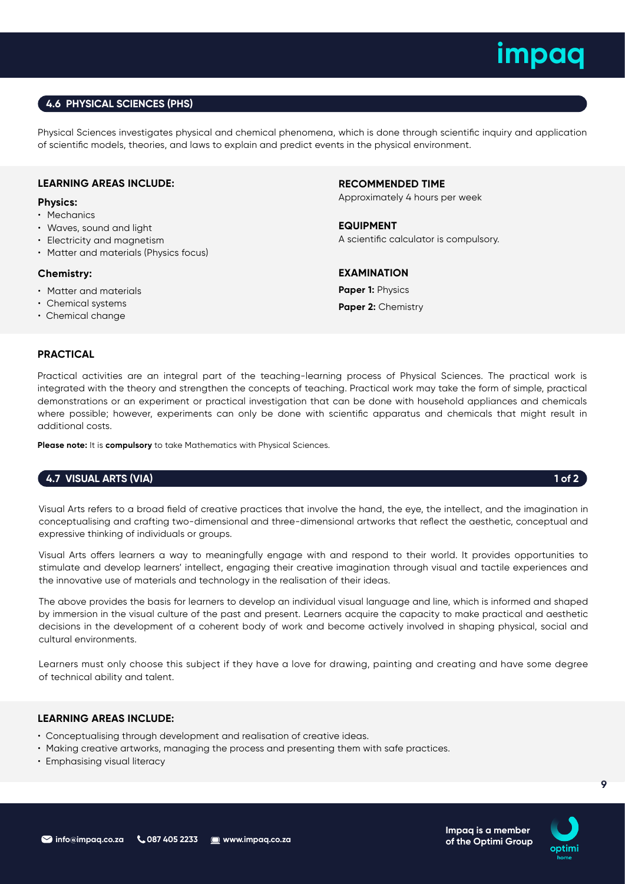## **4.6 PHYSICAL SCIENCES (PHS)**

Physical Sciences investigates physical and chemical phenomena, which is done through scientific inquiry and application of scientific models, theories, and laws to explain and predict events in the physical environment.

## **LEARNING AREAS INCLUDE:**

## **Physics:**

- Mechanics
- Waves, sound and light
- Electricity and magnetism
- Matter and materials (Physics focus)

## **Chemistry:**

- Matter and materials
- Chemical systems
- Chemical change

**RECOMMENDED TIME**

Approximately 4 hours per week

**EQUIPMENT** A scientific calculator is compulsory.

**EXAMINATION Paper 1:** Physics Paper 2: Chemistry

## **PRACTICAL**

Practical activities are an integral part of the teaching-learning process of Physical Sciences. The practical work is integrated with the theory and strengthen the concepts of teaching. Practical work may take the form of simple, practical demonstrations or an experiment or practical investigation that can be done with household appliances and chemicals where possible; however, experiments can only be done with scientific apparatus and chemicals that might result in additional costs.

**Please note:** It is **compulsory** to take Mathematics with Physical Sciences.

## **4.7 VISUAL ARTS (VIA) 1 of 2**

Visual Arts refers to a broad field of creative practices that involve the hand, the eye, the intellect, and the imagination in conceptualising and crafting two-dimensional and three-dimensional artworks that reflect the aesthetic, conceptual and expressive thinking of individuals or groups.

Visual Arts offers learners a way to meaningfully engage with and respond to their world. It provides opportunities to stimulate and develop learners' intellect, engaging their creative imagination through visual and tactile experiences and the innovative use of materials and technology in the realisation of their ideas.

The above provides the basis for learners to develop an individual visual language and line, which is informed and shaped by immersion in the visual culture of the past and present. Learners acquire the capacity to make practical and aesthetic decisions in the development of a coherent body of work and become actively involved in shaping physical, social and cultural environments.

Learners must only choose this subject if they have a love for drawing, painting and creating and have some degree of technical ability and talent.

## **LEARNING AREAS INCLUDE:**

- Conceptualising through development and realisation of creative ideas.
- Making creative artworks, managing the process and presenting them with safe practices.
- Emphasising visual literacy

**Impaq is a member of the Optimi Group**

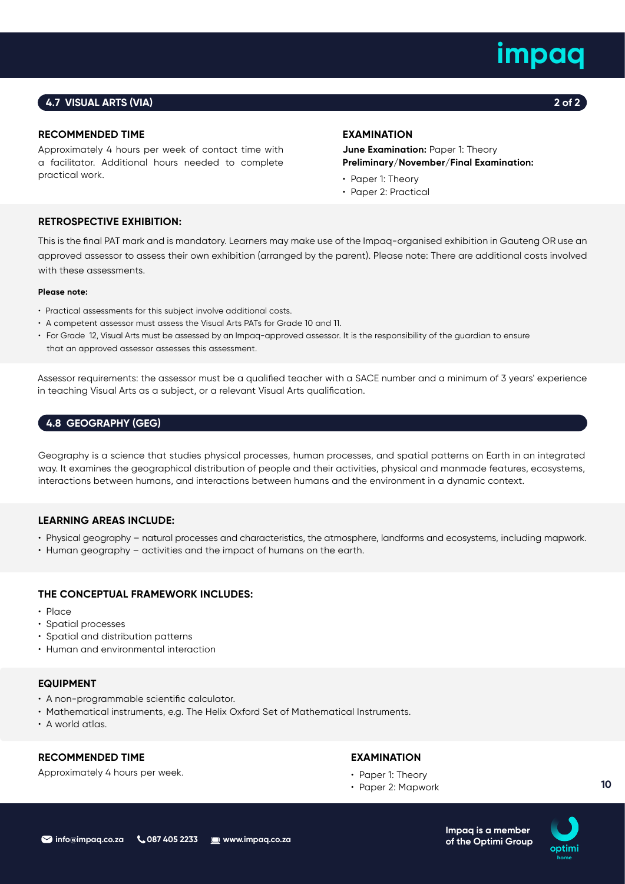## **4.7 VISUAL ARTS (VIA) 2 of 2**

## **RECOMMENDED TIME**

Approximately 4 hours per week of contact time with a facilitator. Additional hours needed to complete practical work.

## **EXAMINATION**

**June Examination: Paper 1: Theory Preliminary/November/Final Examination:** 

- Paper 1: Theory
- Paper 2: Practical

## **RETROSPECTIVE EXHIBITION:**

This is the final PAT mark and is mandatory. Learners may make use of the Impaq-organised exhibition in Gauteng OR use an approved assessor to assess their own exhibition (arranged by the parent). Please note: There are additional costs involved with these assessments.

## **Please note:**

- Practical assessments for this subject involve additional costs.
- A competent assessor must assess the Visual Arts PATs for Grade 10 and 11.
- For Grade 12, Visual Arts must be assessed by an Impaq-approved assessor. It is the responsibility of the guardian to ensure that an approved assessor assesses this assessment.

Assessor requirements: the assessor must be a qualified teacher with a SACE number and a minimum of 3 years' experience in teaching Visual Arts as a subject, or a relevant Visual Arts qualification.

## **4.8 GEOGRAPHY (GEG)**

Geography is a science that studies physical processes, human processes, and spatial patterns on Earth in an integrated way. It examines the geographical distribution of people and their activities, physical and manmade features, ecosystems, interactions between humans, and interactions between humans and the environment in a dynamic context.

## **LEARNING AREAS INCLUDE:**

- Physical geography natural processes and characteristics, the atmosphere, landforms and ecosystems, including mapwork.
- Human geography activities and the impact of humans on the earth.

## **THE CONCEPTUAL FRAMEWORK INCLUDES:**

- Place
- Spatial processes
- Spatial and distribution patterns
- Human and environmental interaction

## **EQUIPMENT**

- A non-programmable scientific calculator.
- Mathematical instruments, e.g. The Helix Oxford Set of Mathematical Instruments.
- A world atlas.

## **RECOMMENDED TIME**

Approximately 4 hours per week.

## **EXAMINATION**

- Paper 1: Theory
- Paper 2: Mapwork

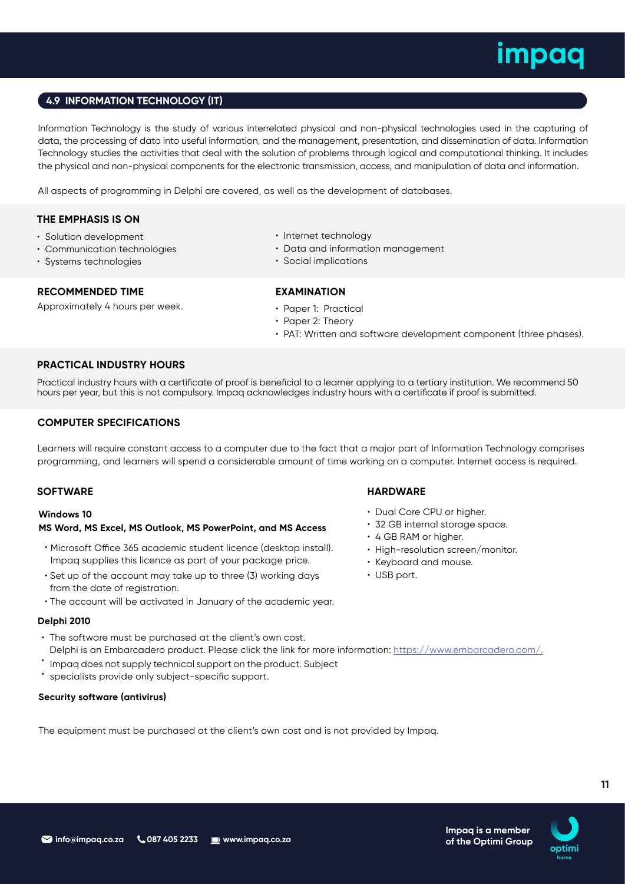## **4.9 INFORMATION TECHNOLOGY (IT)**

Information Technology is the study of various interrelated physical and non-physical technologies used in the capturing of data, the processing of data into useful information, and the management, presentation, and dissemination of data. Information Technology studies the activities that deal with the solution of problems through logical and computational thinking. It includes the physical and non-physical components for the electronic transmission, access, and manipulation of data and information.

All aspects of programming in Delphi are covered, as well as the development of databases.

## **THE EMPHASIS IS ON**

- Solution development
- Communication technologies
- Systems technologies

## **RECOMMENDED TIME**

Approximately 4 hours per week.

- Internet technology
- Data and information management
- Social implications

## **EXAMINATION**

- Paper 1: Practical
- Paper 2: Theory
- PAT: Written and software development component (three phases).

## **PRACTICAL INDUSTRY HOURS**

Practical industry hours with a certificate of proof is beneficial to a learner applying to a tertiary institution. We recommend 50 hours per year, but this is not compulsory. Impaq acknowledges industry hours with a certificate if proof is submitted.

## **COMPUTER SPECIFICATIONS**

Learners will require constant access to a computer due to the fact that a major part of Information Technology comprises programming, and learners will spend a considerable amount of time working on a computer. Internet access is required.

## **MS Word, MS Excel, MS Outlook, MS PowerPoint, and MS Access Windows 10**

- Microsoft Office 365 academic student licence (desktop install). Impaq supplies this licence as part of your package price.
- Set up of the account may take up to three (3) working days from the date of registration.
- The account will be activated in January of the academic year.

## **Delphi 2010**

- The software must be purchased at the client's own cost. Delphi is an Embarcadero product. Please click the link for more information: https://www.embarcadero.com/.
- Impaq does not supply technical support on the product. Subject
- specialists provide only subject-specific support.

## **Security software (antivirus)**

The equipment must be purchased at the client's own cost and is not provided by Impaq.

## **SOFTWARE HARDWARE**

- Dual Core CPU or higher.
- 32 GB internal storage space.
- 4 GB RAM or higher.
- High-resolution screen/monitor.
- Keyboard and mouse.
- USB port.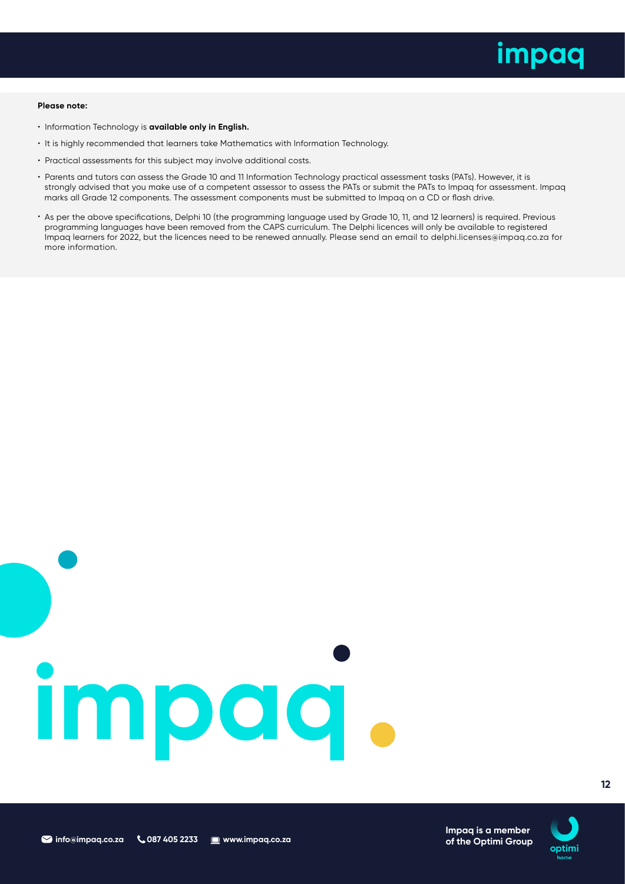

### **Please note:**

- Information Technology is **available only in English.**
- It is highly recommended that learners take Mathematics with Information Technology.
- Practical assessments for this subject may involve additional costs.
- Parents and tutors can assess the Grade 10 and 11 Information Technology practical assessment tasks (PATs). However, it is strongly advised that you make use of a competent assessor to assess the PATs or submit the PATs to Impaq for assessment. Impaq marks all Grade 12 components. The assessment components must be submitted to Impaq on a CD or flash drive.
- As per the above specifications, Delphi 10 (the programming language used by Grade 10, 11, and 12 learners) is required. Previous programming languages have been removed from the CAPS curriculum. The Delphi licences will only be available to registered Impaq learners for 2022, but the licences need to be renewed annually. Please send an email to delphi.licenses@impaq.co.za for more information.

# **impaq**

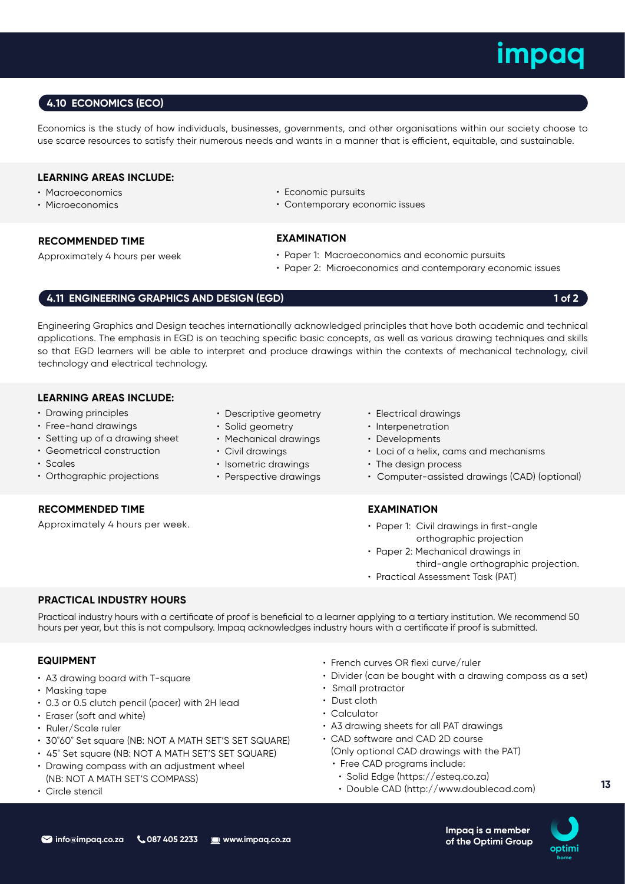## **4.10 ECONOMICS (ECO)**

Economics is the study of how individuals, businesses, governments, and other organisations within our society choose to use scarce resources to satisfy their numerous needs and wants in a manner that is efficient, equitable, and sustainable.

## **LEARNING AREAS INCLUDE:**

- Macroeconomics
- Microeconomics

## **RECOMMENDED TIME**

Approximately 4 hours per week

- Economic pursuits
- Contemporary economic issues

## **EXAMINATION**

- Paper 1: Macroeconomics and economic pursuits
- Paper 2: Microeconomics and contemporary economic issues

## **4.11 ENGINEERING GRAPHICS AND DESIGN (EGD) 1 of 2 1 of 2**

Engineering Graphics and Design teaches internationally acknowledged principles that have both academic and technical applications. The emphasis in EGD is on teaching specific basic concepts, as well as various drawing techniques and skills so that EGD learners will be able to interpret and produce drawings within the contexts of mechanical technology, civil technology and electrical technology.

## **LEARNING AREAS INCLUDE:**

- Drawing principles
- Free-hand drawings
- Setting up of a drawing sheet
- Geometrical construction
- Scales
- Orthographic projections

## **RECOMMENDED TIME**

Approximately 4 hours per week.

- Descriptive geometry
- Solid geometry
- Mechanical drawings
- Civil drawings
- Isometric drawings
- Perspective drawings
- Electrical drawings
- Interpenetration
- Developments
- Loci of a helix, cams and mechanisms
- The design process
- Computer-assisted drawings (CAD) (optional)

## **EXAMINATION**

- Paper 1: Civil drawings in first-angle orthographic projection
- Paper 2: Mechanical drawings in third-angle orthographic projection.
- Practical Assessment Task (PAT)

## **PRACTICAL INDUSTRY HOURS**

Practical industry hours with a certificate of proof is beneficial to a learner applying to a tertiary institution. We recommend 50 hours per year, but this is not compulsory. Impaq acknowledges industry hours with a certificate if proof is submitted.

## **EQUIPMENT**

- A3 drawing board with T-square
- Masking tape
- 0.3 or 0.5 clutch pencil (pacer) with 2H lead
- Eraser (soft and white)
- Ruler/Scale ruler
- 30˚60˚ Set square (NB: NOT A MATH SET'S SET SQUARE)
- 45˚ Set square (NB: NOT A MATH SET'S SET SQUARE)
- Drawing compass with an adjustment wheel (NB: NOT A MATH SET'S COMPASS)
- Circle stencil
- French curves OR flexi curve/ruler
- Divider (can be bought with a drawing compass as a set)
- Small protractor
- Dust cloth
- Calculator
- A3 drawing sheets for all PAT drawings
- CAD software and CAD 2D course
	- (Only optional CAD drawings with the PAT)
	- Free CAD programs include:
	- Solid Edge (https://esteq.co.za)
	- Double CAD (http://www.doublecad.com)



**13**

- 
- 
- 
- 
-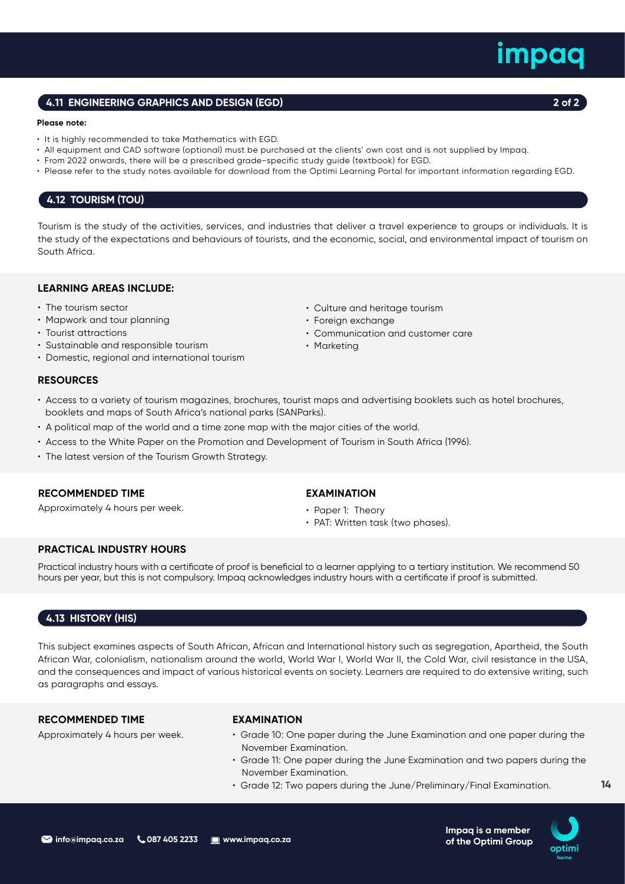## **info@impaq.co.za & 087 405 2233 @www.impaq.co.za**

## **4.11 ENGINEERING GRAPHICS AND DESIGN (EGD) 2 of 2**

### **Please note:**

- It is highly recommended to take Mathematics with EGD.
- All equipment and CAD software (optional) must be purchased at the clients' own cost and is not supplied by Impaq.
- From 2022 onwards, there will be a prescribed grade-specific study guide (textbook) for EGD.
- Please refer to the study notes available for download from the Optimi Learning Portal for important information regarding EGD.

## **4.12 TOURISM (TOU)**

Tourism is the study of the activities, services, and industries that deliver a travel experience to groups or individuals. It is the study of the expectations and behaviours of tourists, and the economic, social, and environmental impact of tourism on South Africa.

## **LEARNING AREAS INCLUDE:**

- The tourism sector
- Mapwork and tour planning
- Tourist attractions
- Sustainable and responsible tourism
- Domestic, regional and international tourism

## **RESOURCES**

- Access to a variety of tourism magazines, brochures, tourist maps and advertising booklets such as hotel brochures, booklets and maps of South Africa's national parks (SANParks).
- A political map of the world and a time zone map with the major cities of the world.
- Access to the White Paper on the Promotion and Development of Tourism in South Africa (1996).
- The latest version of the Tourism Growth Strategy.

## **RECOMMENDED TIME**

Approximately 4 hours per week.

## **EXAMINATION**

- Paper 1: Theory
- PAT: Written task (two phases).

• Culture and heritage tourism

• Communication and customer care

• Foreign exchange

• Marketing

## **PRACTICAL INDUSTRY HOURS**

Practical industry hours with a certificate of proof is beneficial to a learner applying to a tertiary institution. We recommend 50 hours per year, but this is not compulsory. Impaq acknowledges industry hours with a certificate if proof is submitted.

## **4.13 HISTORY (HIS)**

This subject examines aspects of South African, African and International history such as segregation, Apartheid, the South African War, colonialism, nationalism around the world, World War I, World War II, the Cold War, civil resistance in the USA, and the consequences and impact of various historical events on society. Learners are required to do extensive writing, such as paragraphs and essays.

## **RECOMMENDED TIME**

Approximately 4 hours per week.

## **EXAMINATION**

- Grade 10: One paper during the June Examination and one paper during the November Examination.
- Grade 11: One paper during the June Examination and two papers during the November Examination.
- Grade 12: Two papers during the June/Preliminary/Final Examination.



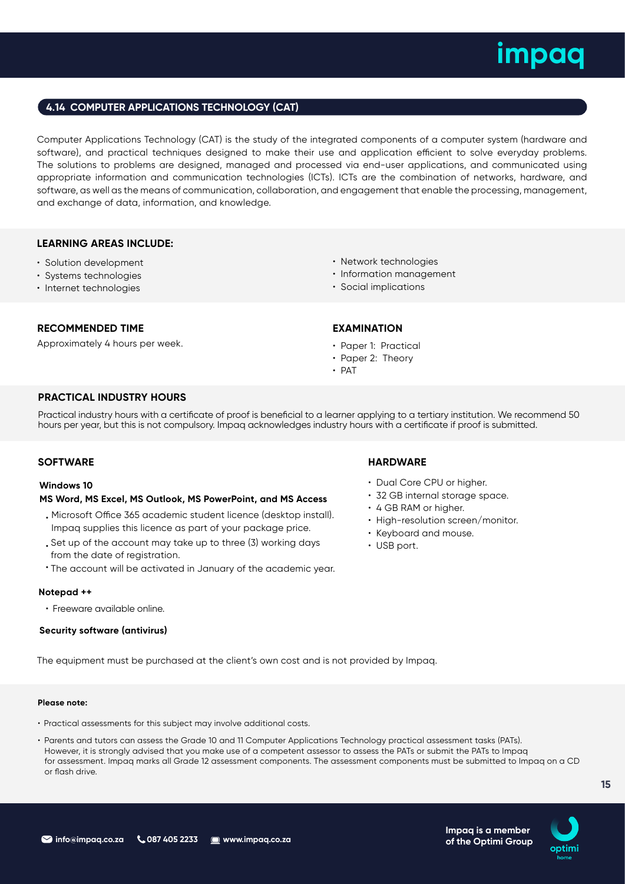## **4.14 COMPUTER APPLICATIONS TECHNOLOGY (CAT)**

Computer Applications Technology (CAT) is the study of the integrated components of a computer system (hardware and software), and practical techniques designed to make their use and application efficient to solve everyday problems. The solutions to problems are designed, managed and processed via end-user applications, and communicated using appropriate information and communication technologies (ICTs). ICTs are the combination of networks, hardware, and software, as well as the means of communication, collaboration, and engagement that enable the processing, management, and exchange of data, information, and knowledge.

## **LEARNING AREAS INCLUDE:**

- Solution development
- Systems technologies
- Internet technologies

## • Network technologies

- Information management
- Social implications

## **RECOMMENDED TIME**

Approximately 4 hours per week.

## **EXAMINATION**

• Paper 1: Practical

• Dual Core CPU or higher. • 32 GB internal storage space.

• High-resolution screen/monitor.

• 4 GB RAM or higher.

• Keyboard and mouse.

• USB port.

- Paper 2: Theory
- PAT

## **PRACTICAL INDUSTRY HOURS**

Practical industry hours with a certificate of proof is beneficial to a learner applying to a tertiary institution. We recommend 50 hours per year, but this is not compulsory. Impaq acknowledges industry hours with a certificate if proof is submitted.

## **SOFTWARE HARDWARE**

## **Windows 10**

### **MS Word, MS Excel, MS Outlook, MS PowerPoint, and MS Access**

- Microsoft Office 365 academic student licence (desktop install). Impaq supplies this licence as part of your package price.
	- Set up of the account may take up to three (3) working days from the date of registration.
	- The account will be activated in January of the academic year.

### **Notepad ++**

• Freeware available online.

## **Security software (antivirus)**

The equipment must be purchased at the client's own cost and is not provided by Impaq.

### **Please note:**

- Practical assessments for this subject may involve additional costs.
- Parents and tutors can assess the Grade 10 and 11 Computer Applications Technology practical assessment tasks (PATs). However, it is strongly advised that you make use of a competent assessor to assess the PATs or submit the PATs to Impaq for assessment. Impaq marks all Grade 12 assessment components. The assessment components must be submitted to Impaq on a CD or flash drive.



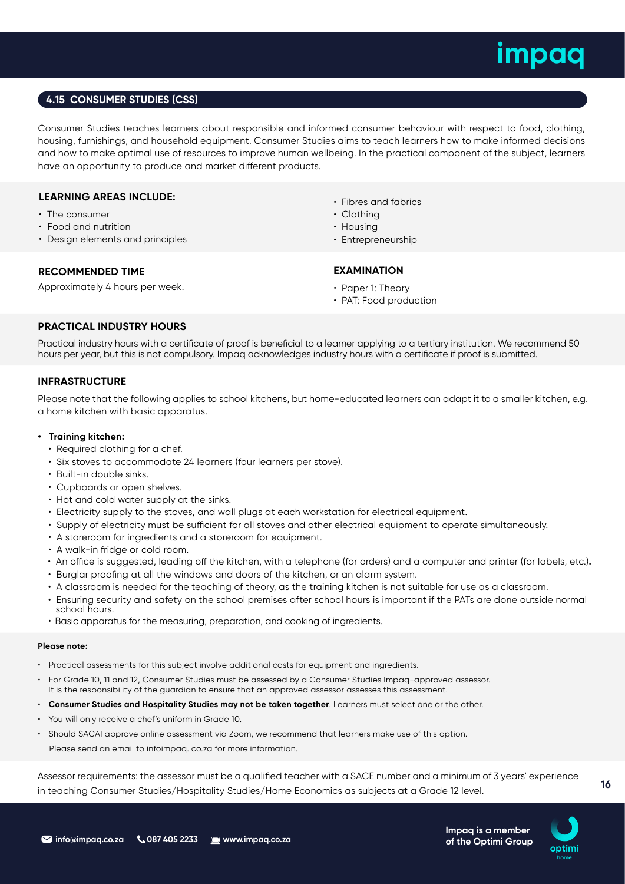## **4.15 CONSUMER STUDIES (CSS)**

Consumer Studies teaches learners about responsible and informed consumer behaviour with respect to food, clothing, housing, furnishings, and household equipment. Consumer Studies aims to teach learners how to make informed decisions and how to make optimal use of resources to improve human wellbeing. In the practical component of the subject, learners have an opportunity to produce and market different products.

## **LEARNING AREAS INCLUDE:**

- The consumer
- Food and nutrition
- Design elements and principles

- Fibres and fabrics
- Clothing
- Housing
- Entrepreneurship

## **RECOMMENDED TIME**

Approximately 4 hours per week.

## **EXAMINATION**

- Paper 1: Theory
- PAT: Food production

## **PRACTICAL INDUSTRY HOURS**

Practical industry hours with a certificate of proof is beneficial to a learner applying to a tertiary institution. We recommend 50 hours per year, but this is not compulsory. Impaq acknowledges industry hours with a certificate if proof is submitted.

## **INFRASTRUCTURE**

Please note that the following applies to school kitchens, but home-educated learners can adapt it to a smaller kitchen, e.g. a home kitchen with basic apparatus.

### **• Training kitchen:**

- Required clothing for a chef.
- Six stoves to accommodate 24 learners (four learners per stove).
- Built-in double sinks.
- Cupboards or open shelves.
- Hot and cold water supply at the sinks.
- Electricity supply to the stoves, and wall plugs at each workstation for electrical equipment.
- Supply of electricity must be sufficient for all stoves and other electrical equipment to operate simultaneously.
- A storeroom for ingredients and a storeroom for equipment.
- A walk-in fridge or cold room.
- •An office is suggested, leading off the kitchen, with a telephone (for orders) and a computer and printer (for labels, etc.)**.**
- Burglar proofing at all the windows and doors of the kitchen, or an alarm system.
- A classroom is needed for the teaching of theory, as the training kitchen is not suitable for use as a classroom.
- Ensuring security and safety on the school premises after school hours is important if the PATs are done outside normal school hours.
- Basic apparatus for the measuring, preparation, and cooking of ingredients.

### **Please note:**

- Practical assessments for this subject involve additional costs for equipment and ingredients.
- For Grade 10, 11 and 12, Consumer Studies must be assessed by a Consumer Studies Impaq-approved assessor. It is the responsibility of the guardian to ensure that an approved assessor assesses this assessment.
- **Consumer Studies and Hospitality Studies may not be taken together**. Learners must select one or the other.
- You will only receive a chef's uniform in Grade 10.
- Should SACAI approve online assessment via Zoom, we recommend that learners make use of this option.

Please send an email to infoimpaq. co.za for more information.

Assessor requirements: the assessor must be a qualified teacher with a SACE number and a minimum of 3 years' experience in teaching Consumer Studies/Hospitality Studies/Home Economics as subjects at a Grade 12 level.

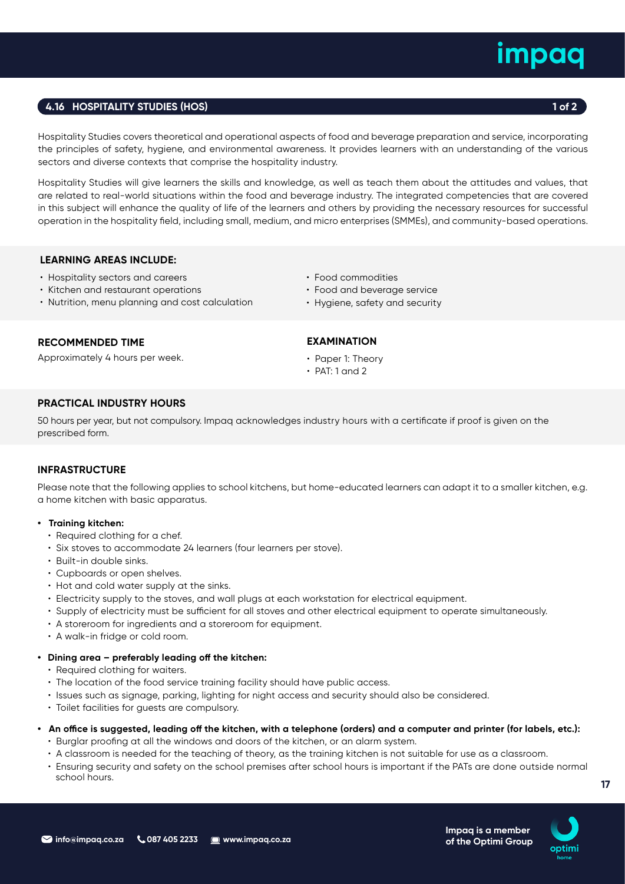## **4.16 HOSPITALITY STUDIES (HOS) 1 of 2**

Hospitality Studies covers theoretical and operational aspects of food and beverage preparation and service, incorporating the principles of safety, hygiene, and environmental awareness. It provides learners with an understanding of the various sectors and diverse contexts that comprise the hospitality industry.

Hospitality Studies will give learners the skills and knowledge, as well as teach them about the attitudes and values, that are related to real-world situations within the food and beverage industry. The integrated competencies that are covered in this subject will enhance the quality of life of the learners and others by providing the necessary resources for successful operation in the hospitality field, including small, medium, and micro enterprises (SMMEs), and community-based operations.

## **LEARNING AREAS INCLUDE:**

- Hospitality sectors and careers
- Kitchen and restaurant operations
- Nutrition, menu planning and cost calculation
- Food commodities
- Food and beverage service
- Hygiene, safety and security

## **RECOMMENDED TIME**

Approximately 4 hours per week.

## **EXAMINATION**

- Paper 1: Theory
- $\cdot$  PAT: 1 and 2

## **PRACTICAL INDUSTRY HOURS**

50 hours per year, but not compulsory. Impaq acknowledges industry hours with a certificate if proof is given on the prescribed form.

## **INFRASTRUCTURE**

Please note that the following applies to school kitchens, but home-educated learners can adapt it to a smaller kitchen, e.g. a home kitchen with basic apparatus.

- **Training kitchen:** 
	- Required clothing for a chef.
	- Six stoves to accommodate 24 learners (four learners per stove).
	- Built-in double sinks.
	- Cupboards or open shelves.
	- Hot and cold water supply at the sinks.
	- Electricity supply to the stoves, and wall plugs at each workstation for electrical equipment.
	- Supply of electricity must be sufficient for all stoves and other electrical equipment to operate simultaneously.
	- A storeroom for ingredients and a storeroom for equipment.
	- A walk-in fridge or cold room.

## **• Dining area – preferably leading off the kitchen:**

- Required clothing for waiters.
- The location of the food service training facility should have public access.
- Issues such as signage, parking, lighting for night access and security should also be considered.
- Toilet facilities for guests are compulsory.

## **• An office is suggested, leading off the kitchen, with a telephone (orders) and a computer and printer (for labels, etc.):**

- Burglar proofing at all the windows and doors of the kitchen, or an alarm system.
- A classroom is needed for the teaching of theory, as the training kitchen is not suitable for use as a classroom.
- Ensuring security and safety on the school premises after school hours is important if the PATs are done outside normal school hours.



**Impaq is a member of the Optimi Group**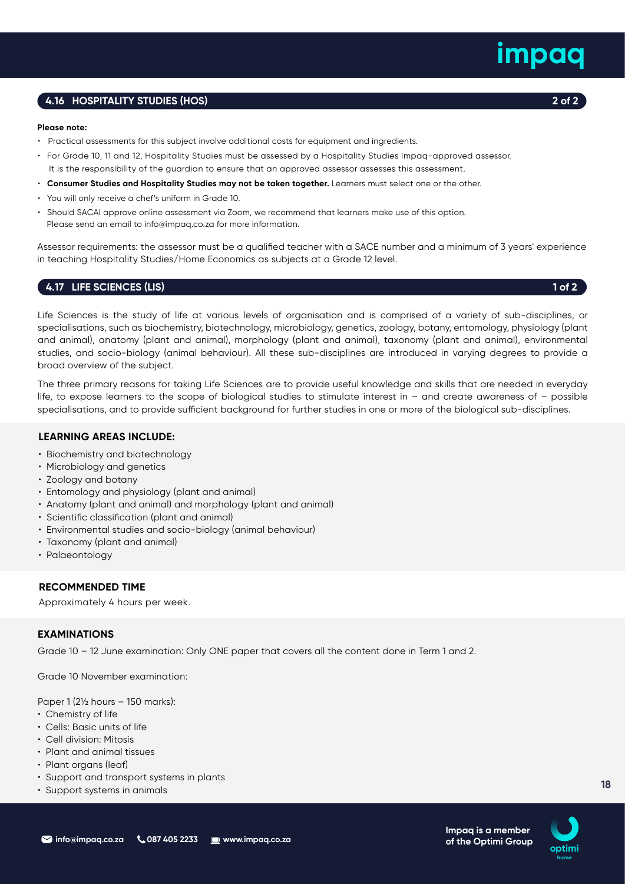## **4.16 HOSPITALITY STUDIES (HOS) 2 of 2**

### **Please note:**

- Practical assessments for this subject involve additional costs for equipment and ingredients.
- For Grade 10, 11 and 12, Hospitality Studies must be assessed by a Hospitality Studies Impaq-approved assessor. It is the responsibility of the guardian to ensure that an approved assessor assesses this assessment.
- **Consumer Studies and Hospitality Studies may not be taken together.** Learners must select one or the other.
- You will only receive a chef's uniform in Grade 10.
- Should SACAI approve online assessment via Zoom, we recommend that learners make use of this option. Please send an email to info@impaq.co.za for more information.

Assessor requirements: the assessor must be a qualified teacher with a SACE number and a minimum of 3 years' experience in teaching Hospitality Studies/Home Economics as subjects at a Grade 12 level.

## **4.17 LIFE SCIENCES (LIS)** 1 of 2

Life Sciences is the study of life at various levels of organisation and is comprised of a variety of sub-disciplines, or specialisations, such as biochemistry, biotechnology, microbiology, genetics, zoology, botany, entomology, physiology (plant and animal), anatomy (plant and animal), morphology (plant and animal), taxonomy (plant and animal), environmental studies, and socio-biology (animal behaviour). All these sub-disciplines are introduced in varying degrees to provide a broad overview of the subject.

The three primary reasons for taking Life Sciences are to provide useful knowledge and skills that are needed in everyday life, to expose learners to the scope of biological studies to stimulate interest in – and create awareness of – possible specialisations, and to provide sufficient background for further studies in one or more of the biological sub-disciplines.

## **LEARNING AREAS INCLUDE:**

- Biochemistry and biotechnology
- Microbiology and genetics
- Zoology and botany
- Entomology and physiology (plant and animal)
- Anatomy (plant and animal) and morphology (plant and animal)
- Scientific classification (plant and animal)
- Environmental studies and socio-biology (animal behaviour)
- Taxonomy (plant and animal)
- Palaeontology

## **RECOMMENDED TIME**

Approximately 4 hours per week.

## **EXAMINATIONS**

Grade 10 – 12 June examination: Only ONE paper that covers all the content done in Term 1 and 2.

Grade 10 November examination:

Paper 1 (2½ hours – 150 marks):

- Chemistry of life
- Cells: Basic units of life
- Cell division: Mitosis
- Plant and animal tissues
- Plant organs (leaf)
- Support and transport systems in plants
- Support systems in animals

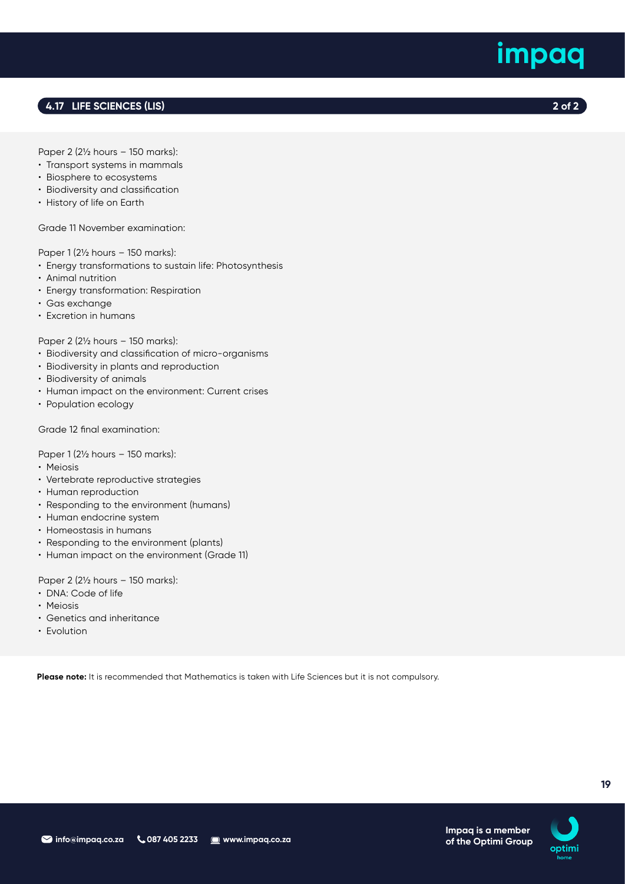## **4.17 LIFE SCIENCES (LIS) 2 of 2**

Paper 2 (2½ hours – 150 marks):

- Transport systems in mammals
- Biosphere to ecosystems
- Biodiversity and classification
- History of life on Earth

Grade 11 November examination:

## Paper 1 (2½ hours – 150 marks):

- Energy transformations to sustain life: Photosynthesis
- Animal nutrition
- Energy transformation: Respiration
- Gas exchange
- Excretion in humans

## Paper 2 (2½ hours – 150 marks):

- Biodiversity and classification of micro-organisms
- Biodiversity in plants and reproduction
- Biodiversity of animals
- Human impact on the environment: Current crises
- Population ecology

## Grade 12 final examination:

Paper 1 (2½ hours – 150 marks):

- Meiosis
- Vertebrate reproductive strategies
- Human reproduction
- Responding to the environment (humans)
- Human endocrine system
- Homeostasis in humans
- Responding to the environment (plants)
- Human impact on the environment (Grade 11)

Paper 2 (2½ hours – 150 marks):

- DNA: Code of life
- Meiosis
- Genetics and inheritance
- Evolution

**Please note:** It is recommended that Mathematics is taken with Life Sciences but it is not compulsory.



**Impaq is a member of the Optimi Group**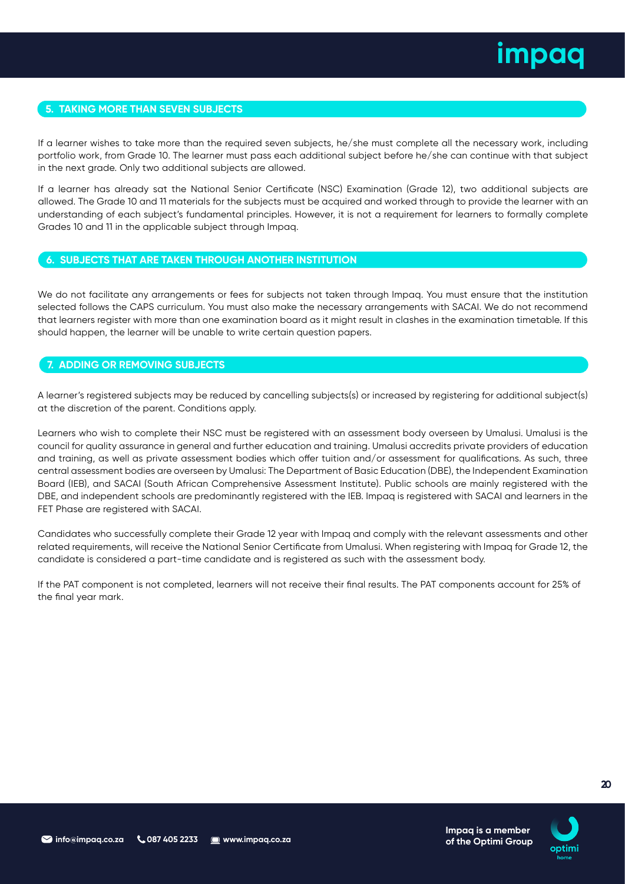

## **5. TAKING MORE THAN SEVEN SUBJECTS**

If a learner wishes to take more than the required seven subjects, he/she must complete all the necessary work, including portfolio work, from Grade 10. The learner must pass each additional subject before he/she can continue with that subject in the next grade. Only two additional subjects are allowed.

If a learner has already sat the National Senior Certificate (NSC) Examination (Grade 12), two additional subjects are allowed. The Grade 10 and 11 materials for the subjects must be acquired and worked through to provide the learner with an understanding of each subject's fundamental principles. However, it is not a requirement for learners to formally complete Grades 10 and 11 in the applicable subject through Impaq.

## **6. SUBJECTS THAT ARE TAKEN THROUGH ANOTHER INSTITUTION**

We do not facilitate any arrangements or fees for subjects not taken through Impaq. You must ensure that the institution selected follows the CAPS curriculum. You must also make the necessary arrangements with SACAI. We do not recommend that learners register with more than one examination board as it might result in clashes in the examination timetable. If this should happen, the learner will be unable to write certain question papers.

## **7. ADDING OR REMOVING SUBJECTS**

A learner's registered subjects may be reduced by cancelling subjects(s) or increased by registering for additional subject(s) at the discretion of the parent. Conditions apply.

Learners who wish to complete their NSC must be registered with an assessment body overseen by Umalusi. Umalusi is the council for quality assurance in general and further education and training. Umalusi accredits private providers of education and training, as well as private assessment bodies which offer tuition and/or assessment for qualifications. As such, three central assessment bodies are overseen by Umalusi: The Department of Basic Education (DBE), the Independent Examination Board (IEB), and SACAI (South African Comprehensive Assessment Institute). Public schools are mainly registered with the DBE, and independent schools are predominantly registered with the IEB. Impaq is registered with SACAI and learners in the FET Phase are registered with SACAI.

Candidates who successfully complete their Grade 12 year with Impaq and comply with the relevant assessments and other related requirements, will receive the National Senior Certificate from Umalusi. When registering with Impaq for Grade 12, the candidate is considered a part-time candidate and is registered as such with the assessment body.

If the PAT component is not completed, learners will not receive their final results. The PAT components account for 25% of the final year mark.

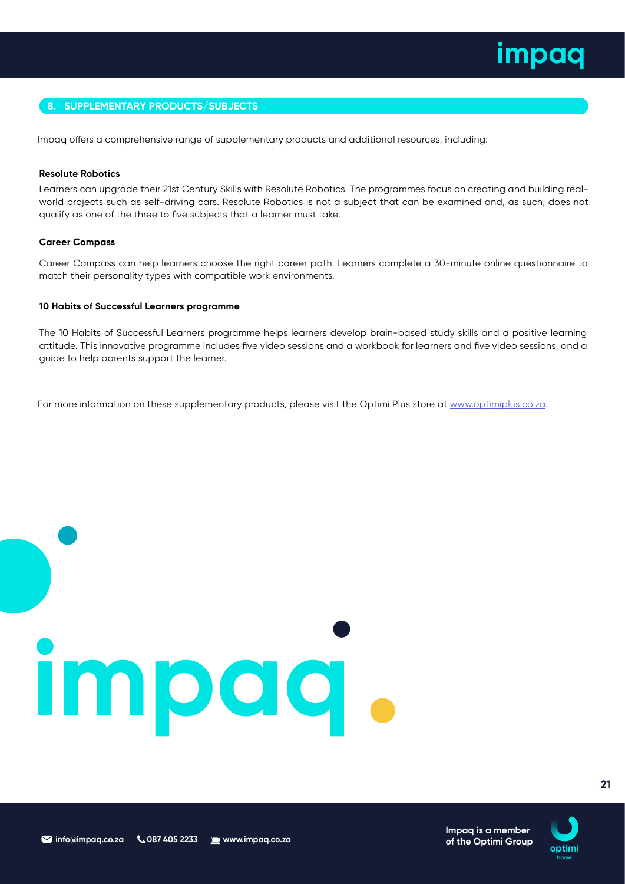## **8. SUPPLEMENTARY PRODUCTS/SUBJECTS**

Impaq offers a comprehensive range of supplementary products and additional resources, including:

### **Resolute Robotics**

Learners can upgrade their 21st Century Skills with Resolute Robotics. The programmes focus on creating and building realworld projects such as self-driving cars. Resolute Robotics is not a subject that can be examined and, as such, does not qualify as one of the three to five subjects that a learner must take.

### **Career Compass**

Career Compass can help learners choose the right career path. Learners complete a 30-minute online questionnaire to match their personality types with compatible work environments.

### **10 Habits of Successful Learners programme**

The 10 Habits of Successful Learners programme helps learners develop brain-based study skills and a positive learning attitude. This innovative programme includes five video sessions and a workbook for learners and five video sessions, and a guide to help parents support the learner.

For more information on these supplementary products, please visit the Optimi Plus store at www.optimiplus.co.za.

## **impaq**



**21**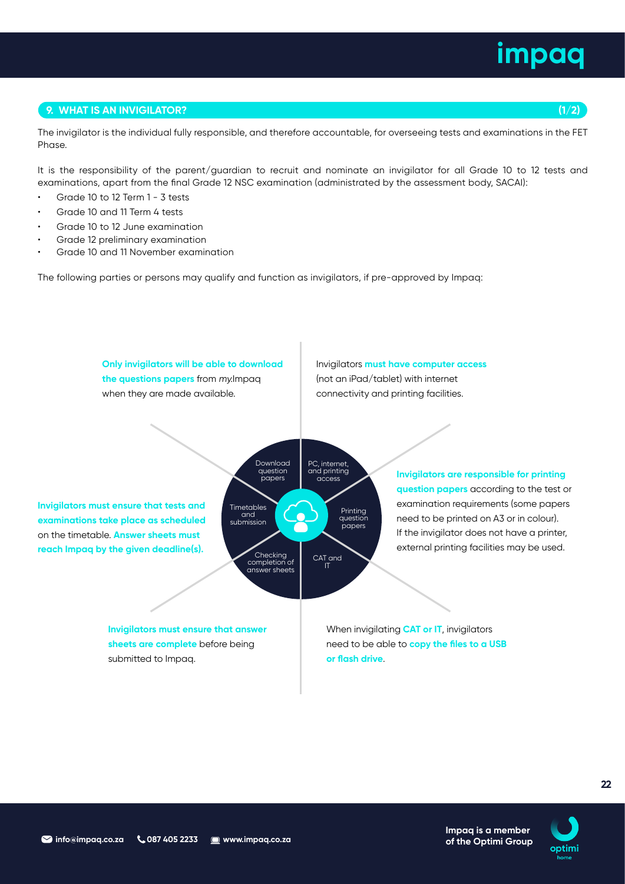## **9. WHAT IS AN INVIGILATOR? (1/2)**

The invigilator is the individual fully responsible, and therefore accountable, for overseeing tests and examinations in the FET Phase.

It is the responsibility of the parent/guardian to recruit and nominate an invigilator for all Grade 10 to 12 tests and examinations, apart from the final Grade 12 NSC examination (administrated by the assessment body, SACAI):

- Grade 10 to 12 Term 1 3 tests
- Grade 10 and 11 Term 4 tests
- Grade 10 to 12 June examination
- Grade 12 preliminary examination
- Grade 10 and 11 November examination

The following parties or persons may qualify and function as invigilators, if pre-approved by Impaq:

**Only invigilators will be able to download the questions papers** from my.Impaq when they are made available.

Invigilators **must have computer access** (not an iPad/tablet) with internet connectivity and printing facilities.

**Invigilators must ensure that tests and examinations take place as scheduled** on the timetable. **Answer sheets must reach Impaq by the given deadline(s).**



**Invigilators are responsible for printing question papers** according to the test or examination requirements (some papers need to be printed on A3 or in colour). If the invigilator does not have a printer, external printing facilities may be used.

> **Impaq is a member of the Optimi Group**

**Invigilators must ensure that answer sheets are complete** before being submitted to Impaq.

When invigilating **CAT or IT**, invigilators need to be able to **copy the files to a USB or flash drive**.